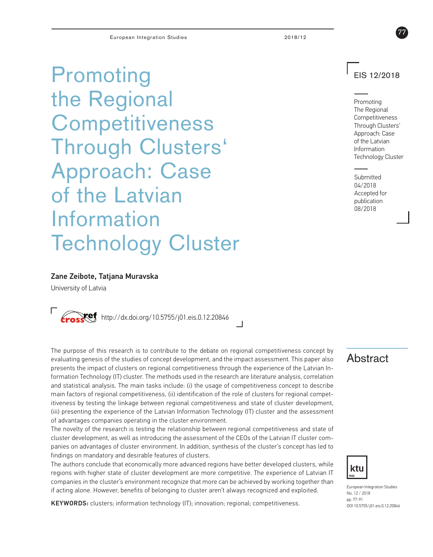Promoting the Regional **Competitiveness** Through Clusters' Approach: Case of the Latvian Information Technology Cluster

# EIS 12/2018

77

Promoting The Regional Competitiveness Through Clusters' Approach: Case of the Latvian Information Technology Cluster

**Submitted** 04/2018 Accepted for publication 08/2018

### Zane Zeibote, Tatjana Muravska

University of Latvia



The purpose of this research is to contribute to the debate on regional competitiveness concept by Table 1 and the studies of concept development, and the impact assessment. This paper also Table 1 and  $\overline{\text{Abstract}}$ presents the impact of clusters on regional competitiveness through the experience of the Latvian Information Technology (IT) cluster. The methods used in the research are literature analysis, correlation and statistical analysis. The main tasks include: (i) the usage of competitiveness concept to describe main factors of regional competitiveness, (ii) identification of the role of clusters for regional competitiveness by testing the linkage between regional competitiveness and state of cluster development, (iii) presenting the experience of the Latvian Information Technology (IT) cluster and the assessment of advantages companies operating in the cluster environment.

The novelty of the research is testing the relationship between regional competitiveness and state of cluster development, as well as introducing the assessment of the CEOs of the Latvian IT cluster companies on advantages of cluster environment. In addition, synthesis of the cluster's concept has led to findings on mandatory and desirable features of clusters.

The authors conclude that economically more advanced regions have better developed clusters, while regions with higher state of cluster development are more competitive. The experience of Latvian IT companies in the cluster's environment recognize that more can be achieved by working together than if acting alone. However, benefits of belonging to cluster aren't always recognized and exploited.

KEYWORDS: clusters; information technology (IT); innovation; regional; competitiveness.



European Integration Studies No. 12 / 2018 pp. 77-91 DOI 10.5755/j01.eis.0.12.20846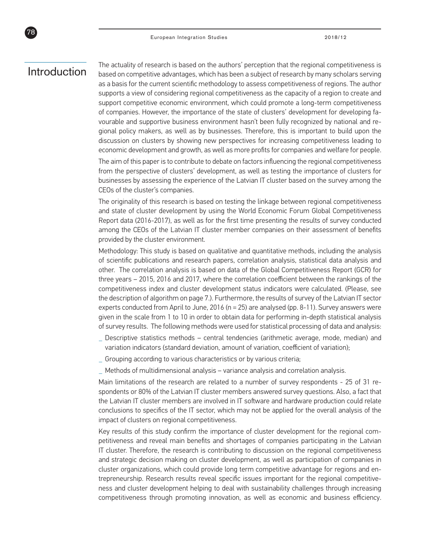# Introduction

78

The actuality of research is based on the authors' perception that the regional competitiveness is based on competitive advantages, which has been a subject of research by many scholars serving as a basis for the current scientific methodology to assess competitiveness of regions. The author supports a view of considering regional competitiveness as the capacity of a region to create and support competitive economic environment, which could promote a long-term competitiveness of companies. However, the importance of the state of clusters' development for developing favourable and supportive business environment hasn't been fully recognized by national and regional policy makers, as well as by businesses. Therefore, this is important to build upon the discussion on clusters by showing new perspectives for increasing competitiveness leading to economic development and growth, as well as more profits for companies and welfare for people.

The aim of this paper is to contribute to debate on factors influencing the regional competitiveness from the perspective of clusters' development, as well as testing the importance of clusters for businesses by assessing the experience of the Latvian IT cluster based on the survey among the CEOs of the cluster's companies.

The originality of this research is based on testing the linkage between regional competitiveness and state of cluster development by using the World Economic Forum Global Competitiveness Report data (2016-2017), as well as for the first time presenting the results of survey conducted among the CEOs of the Latvian IT cluster member companies on their assessment of benefits provided by the cluster environment.

Methodology: This study is based on qualitative and quantitative methods, including the analysis of scientific publications and research papers, correlation analysis, statistical data analysis and other. The correlation analysis is based on data of the Global Competitiveness Report (GCR) for three years – 2015, 2016 and 2017, where the correlation coefficient between the rankings of the competitiveness index and cluster development status indicators were calculated. (Please, see the description of algorithm on page 7.). Furthermore, the results of survey of the Latvian IT sector experts conducted from April to June,  $2016$  (n =  $25$ ) are analysed (pp. 8-11). Survey answers were given in the scale from 1 to 10 in order to obtain data for performing in-depth statistical analysis of survey results. The following methods were used for statistical processing of data and analysis:

- **\_** Descriptive statistics methods central tendencies (arithmetic average, mode, median) and variation indicators (standard deviation, amount of variation, coefficient of variation);
- **\_** Grouping according to various characteristics or by various criteria;
- **\_** Methods of multidimensional analysis variance analysis and correlation analysis.

Main limitations of the research are related to a number of survey respondents - 25 of 31 respondents or 80% of the Latvian IT cluster members answered survey questions. Also, a fact that the Latvian IT cluster members are involved in IT software and hardware production could relate conclusions to specifics of the IT sector, which may not be applied for the overall analysis of the impact of clusters on regional competitiveness.

Key results of this study confirm the importance of cluster development for the regional competitiveness and reveal main benefits and shortages of companies participating in the Latvian IT cluster. Therefore, the research is contributing to discussion on the regional competitiveness and strategic decision making on cluster development, as well as participation of companies in cluster organizations, which could provide long term competitive advantage for regions and entrepreneurship. Research results reveal specific issues important for the regional competitiveness and cluster development helping to deal with sustainability challenges through increasing competitiveness through promoting innovation, as well as economic and business efficiency.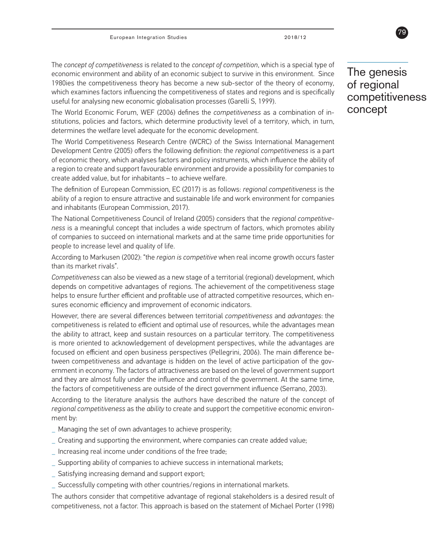The *concept of competitiveness* is related to the *concept of competition*, which is a special type of economic environment and ability of an economic subject to survive in this environment. Since 1980ies the competitiveness theory has become a new sub-sector of the theory of economy, which examines factors influencing the competitiveness of states and regions and is specifically useful for analysing new economic globalisation processes (Garelli S, 1999).

The World Economic Forum, WEF (2006) defines the *competitiveness* as a combination of institutions, policies and factors, which determine productivity level of a territory, which, in turn, determines the welfare level adequate for the economic development.

The World Competitiveness Research Centre (WCRC) of the Swiss International Management Development Centre (2005) offers the following definition: the *regional competitiveness* is a part of economic theory, which analyses factors and policy instruments, which influence the ability of a region to create and support favourable environment and provide a possibility for companies to create added value, but for inhabitants – to achieve welfare.

The definition of European Commission, EC (2017) is as follows: *regional competitiveness* is the ability of a region to ensure attractive and sustainable life and work environment for companies and inhabitants (European Commission, 2017).

The National Competitiveness Council of Ireland (2005) considers that the *regional competitiveness* is a meaningful concept that includes a wide spectrum of factors, which promotes ability of companies to succeed on international markets and at the same time pride opportunities for people to increase level and quality of life.

According to Markusen (2002): "the *region is competitive* when real income growth occurs faster than its market rivals".

*Competitiveness* can also be viewed as a new stage of a territorial (regional) development, which depends on competitive advantages of regions. The achievement of the competitiveness stage helps to ensure further efficient and profitable use of attracted competitive resources, which ensures economic efficiency and improvement of economic indicators.

However, there are several differences between territorial *competitiveness* and *advantages*: the competitiveness is related to efficient and optimal use of resources, while the advantages mean the ability to attract, keep and sustain resources on a particular territory. The competitiveness is more oriented to acknowledgement of development perspectives, while the advantages are focused on efficient and open business perspectives (Pellegrini, 2006). The main difference between competitiveness and advantage is hidden on the level of active participation of the government in economy. The factors of attractiveness are based on the level of government support and they are almost fully under the influence and control of the government. At the same time, the factors of competitiveness are outside of the direct government influence (Serrano, 2003).

According to the literature analysis the authors have described the nature of the concept of *regional competitiveness* as the *ability* to create and support the competitive economic environment by:

- **\_** Managing the set of own advantages to achieve prosperity;
- **\_** Creating and supporting the environment, where companies can create added value;
- **\_** Increasing real income under conditions of the free trade;
- **\_** Supporting ability of companies to achieve success in international markets;
- **\_** Satisfying increasing demand and support export;
- **\_** Successfully competing with other countries/regions in international markets.

The authors consider that competitive advantage of regional stakeholders is a desired result of competitiveness, not a factor. This approach is based on the statement of Michael Porter (1998)

The genesis of regional competitiveness concept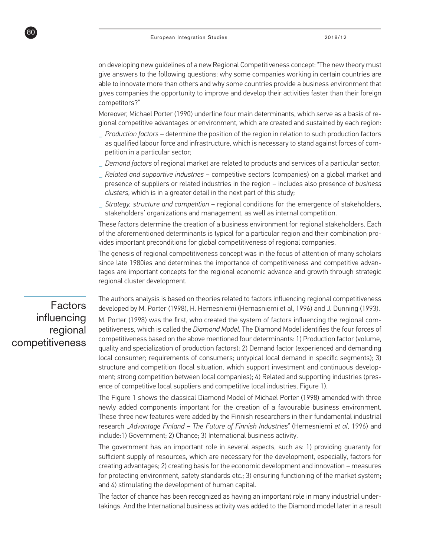on developing new guidelines of a new Regional Competitiveness concept: "The new theory must give answers to the following questions: why some companies working in certain countries are able to innovate more than others and why some countries provide a business environment that gives companies the opportunity to improve and develop their activities faster than their foreign competitors?"

Moreover, Michael Porter (1990) underline four main determinants, which serve as a basis of regional competitive advantages or environment, which are created and sustained by each region:

- **\_** *Production factors*  determine the position of the region in relation to such production factors as qualified labour force and infrastructure, which is necessary to stand against forces of competition in a particular sector;
- **\_** *Demand factors* of regional market are related to products and services of a particular sector;
- **\_** *Related and supportive industries* competitive sectors (companies) on a global market and presence of suppliers or related industries in the region – includes also presence of *business clusters*, which is in a greater detail in the next part of this study;
- **\_** *Strategy, structure and competition* regional conditions for the emergence of stakeholders, stakeholders' organizations and management, as well as internal competition.

These factors determine the creation of a business environment for regional stakeholders. Each of the aforementioned determinants is typical for a particular region and their combination provides important preconditions for global competitiveness of regional companies.

The genesis of regional competitiveness concept was in the focus of attention of many scholars since late 1980ies and determines the importance of competitiveness and competitive advantages are important concepts for the regional economic advance and growth through strategic regional cluster development.

The authors analysis is based on theories related to factors influencing regional competitiveness developed by M. Porter (1998), H. Hernesniemi (Hernasniemi et al, 1996) and J. Dunning (1993).

M. Porter (1998) was the first, who created the system of factors influencing the regional competitiveness, which is called the *Diamond Model*. The Diamond Model identifies the four forces of competitiveness based on the above mentioned four determinants: 1) Production factor (volume, quality and specialization of production factors); 2) Demand factor (experienced and demanding local consumer; requirements of consumers; untypical local demand in specific segments); 3) structure and competition (local situation, which support investment and continuous development; strong competition between local companies); 4) Related and supporting industries (presence of competitive local suppliers and competitive local industries, Figure 1).

The Figure 1 shows the classical Diamond Model of Michael Porter (1998) amended with three newly added components important for the creation of a favourable business environment. These three new features were added by the Finnish researchers in their fundamental industrial research *"Advantage Finland – The Future of Finnish Industries"* (Hernesniemi *et al*, 1996) and include:1) Government; 2) Chance; 3) International business activity.

The government has an important role in several aspects, such as: 1) providing guaranty for sufficient supply of resources, which are necessary for the development, especially, factors for creating advantages; 2) creating basis for the economic development and innovation – measures for protecting environment, safety standards etc.; 3) ensuring functioning of the market system; and 4) stimulating the development of human capital.

The factor of chance has been recognized as having an important role in many industrial undertakings. And the International business activity was added to the Diamond model later in a result

# Factors influencing regional competitiveness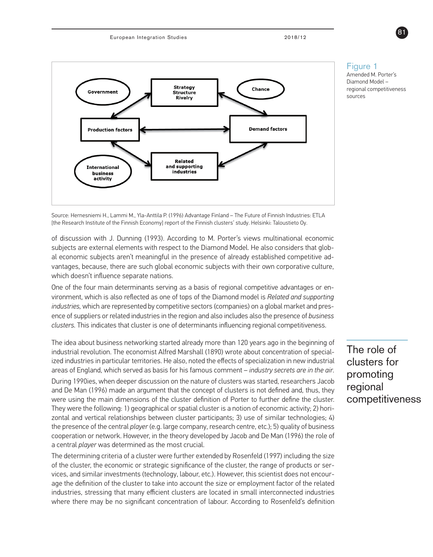

Figure 1

Amended M. Porter's Diamond Model – regional competitiveness sources

Source: Hernesniemi H., Lammi M., Yla-Anttila P. (1996) Advantage Finland – The Future of Finnish Industries: ETLA [the Research Institute of the Finnish Economy] report of the Finnish clusters' study. Helsinki: Taloustieto Oy.

of discussion with J. Dunning (1993). According to M. Porter's views multinational economic subjects are external elements with respect to the Diamond Model. He also considers that global economic subjects aren't meaningful in the presence of already established competitive advantages, because, there are such global economic subjects with their own corporative culture, which doesn't influence separate nations.

One of the four main determinants serving as a basis of regional competitive advantages or environment, which is also reflected as one of tops of the Diamond model is *Related and supporting industries,* which are represented by competitive sectors (companies) on a global market and presence of suppliers or related industries in the region and also includes also the presence of *business clusters.* This indicates that cluster is one of determinants influencing regional competitiveness.

The idea about business networking started already more than 120 years ago in the beginning of industrial revolution. The economist Alfred Marshall (1890) wrote about concentration of specialized industries in particular territories. He also, noted the effects of specialization in new industrial areas of England, which served as basis for his famous comment – *industry secrets are in the air.* During 1990ies, when deeper discussion on the nature of clusters was started, researchers Jacob and De Man (1996) made an argument that the concept of clusters is not defined and, thus, they were using the main dimensions of the cluster definition of Porter to further define the cluster. They were the following: 1) geographical or spatial cluster is a notion of economic activity; 2) horizontal and vertical relationships between cluster participants; 3) use of similar technologies; 4) the presence of the central *player* (e.g. large company, research centre, etc.); 5) quality of business cooperation or network. However, in the theory developed by Jacob and De Man (1996) the role of a central *player* was determined as the most crucial.

The determining criteria of a cluster were further extended by Rosenfeld (1997) including the size of the cluster, the economic or strategic significance of the cluster, the range of products or services, and similar investments (technology, labour, etc.). However, this scientist does not encourage the definition of the cluster to take into account the size or employment factor of the related industries, stressing that many efficient clusters are located in small interconnected industries where there may be no significant concentration of labour. According to Rosenfeld's definition

The role of clusters for promoting regional competitiveness

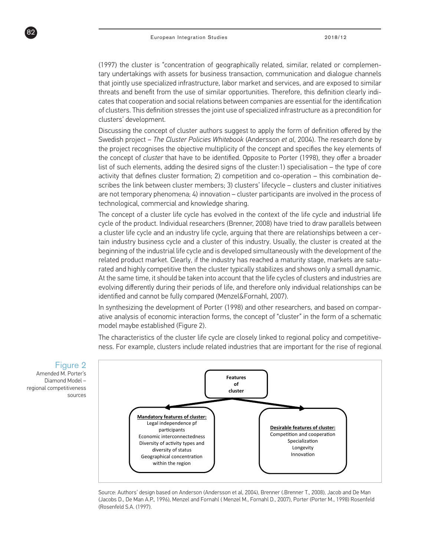(1997) the cluster is "concentration of geographically related, similar, related or complementary undertakings with assets for business transaction, communication and dialogue channels that jointly use specialized infrastructure, labor market and services, and are exposed to similar threats and benefit from the use of similar opportunities. Therefore, this definition clearly indicates that cooperation and social relations between companies are essential for the identification of clusters. This definition stresses the joint use of specialized infrastructure as a precondition for clusters' development.

Discussing the concept of cluster authors suggest to apply the form of definition offered by the Swedish project – *The Cluster Policies Whitebook* (Andersson *et al*, 2004). The research done by the project recognises the objective multiplicity of the concept and specifies the key elements of the concept of *cluster* that have to be identified. Opposite to Porter (1998), they offer a broader list of such elements, adding the desired signs of the cluster:1) specialisation – the type of core activity that defines cluster formation; 2) competition and co-operation – this combination describes the link between cluster members; 3) clusters' lifecycle – clusters and cluster initiatives are not temporary phenomena; 4) innovation – cluster participants are involved in the process of technological, commercial and knowledge sharing.

The concept of a cluster life cycle has evolved in the context of the life cycle and industrial life cycle of the product. Individual researchers (Brenner, 2008) have tried to draw parallels between a cluster life cycle and an industry life cycle, arguing that there are relationships between a certain industry business cycle and a cluster of this industry. Usually, the cluster is created at the beginning of the industrial life cycle and is developed simultaneously with the development of the related product market. Clearly, if the industry has reached a maturity stage, markets are saturated and highly competitive then the cluster typically stabilizes and shows only a small dynamic. At the same time, it should be taken into account that the life cycles of clusters and industries are evolving differently during their periods of life, and therefore only individual relationships can be identified and cannot be fully compared (Menzel&Fornahl, 2007).

In synthesizing the development of Porter (1998) and other researchers, and based on comparative analysis of economic interaction forms, the concept of "cluster" in the form of a schematic model maybe established (Figure 2).

The characteristics of the cluster life cycle are closely linked to regional policy and competitiveness. For example, clusters include related industries that are important for the rise of regional



Source: Authors' design based on Anderson (Andersson et al, 2004), Brenner (.Brenner T., 2008), Jacob and De Man (Jacobs D., De Man A.P., 1996), Menzel and Fornahl ( Menzel M., Fornahl D., 2007), Porter (Porter M., 1998) Rosenfeld (Rosenfeld S.A. (1997).

### Figure 2

Amended M. Porter's Diamond Model – regional competitiveness sources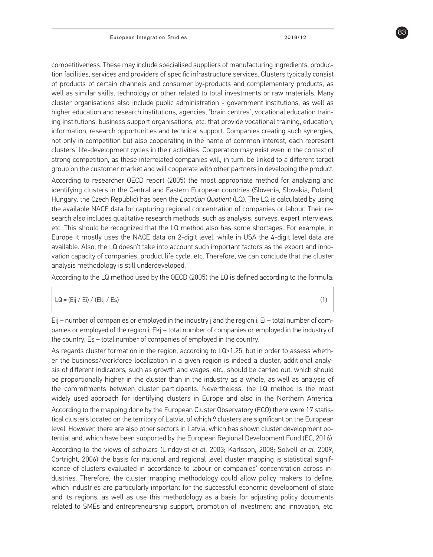competitiveness. These may include specialised suppliers of manufacturing ingredients, production facilities, services and providers of specific infrastructure services. Clusters typically consist of products of certain channels and consumer by-products and complementary products, as well as similar skills, technology or other related to total investments or raw materials. Many cluster organisations also include public administration - government institutions, as well as higher education and research institutions, agencies, "brain centres", vocational education training institutions, business support organisations, etc. that provide vocational training, education, information, research opportunities and technical support. Companies creating such synergies, not only in competition but also cooperating in the name of common interest, each represent clusters' life-development cycles in their activities. Cooperation may exist even in the context of strong competition, as these interrelated companies will, in turn, be linked to a different target group on the customer market and will cooperate with other partners in developing the product.

According to researcher OECD report (2005) the most appropriate method for analyzing and identifying clusters in the Central and Eastern European countries (Slovenia, Slovakia, Poland, Hungary, the Czech Republic) has been the *Location Quotient* (LQ). The LQ is calculated by using the available NACE data for capturing regional concentration of companies or labour. Their research also includes qualitative research methods, such as analysis, surveys, expert interviews, etc. This should be recognized that the LQ method also has some shortages. For example, in Europe it mostly uses the NACE data on 2-digit level, while in USA the 4-digit level data are available. Also, the LQ doesn't take into account such important factors as the export and innovation capacity of companies, product life cycle, etc. Therefore, we can conclude that the cluster analysis methodology is still underdeveloped.

According to the LQ method used by the OECD (2005) the LQ is defined according to the formula:

#### $LQ = (Eij / Ei) / (Ekj / Es)$  (1)

Eij – number of companies or employed in the industry j and the region i; Ei – total number of companies or employed of the region i; Ekj – total number of companies or employed in the industry of the country; Es – total number of companies of employed in the country.

As regards cluster formation in the region, according to LQ>1.25, but in order to assess whether the business/workforce localization in a given region is indeed a cluster, additional analysis of different indicators, such as growth and wages, etc., should be carried out, which should be proportionally higher in the cluster than in the industry as a whole, as well as analysis of the commitments between cluster participants. Nevertheless, the LQ method is the most widely used approach for identifying clusters in Europe and also in the Northern America. According to the mapping done by the European Cluster Observatory (ECO) there were 17 statistical clusters located on the territory of Latvia, of which 9 clusters are significant on the European level. However, there are also other sectors in Latvia, which has shown cluster development potential and, which have been supported by the European Regional Development Fund (EC, 2016). According to the views of scholars (Lindqvist *et al*, 2003; Karlsson, 2008; Solvell *et al*, 2009, Cortright, 2006) the basis for national and regional level cluster mapping is statistical significance of clusters evaluated in accordance to labour or companies' concentration across industries. Therefore, the cluster mapping methodology could allow policy makers to define, which industries are particularly important for the successful economic development of state and its regions, as well as use this methodology as a basis for adjusting policy documents related to SMEs and entrepreneurship support, promotion of investment and innovation, etc.

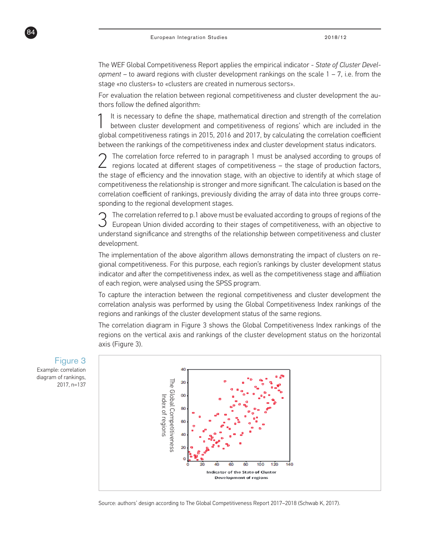The WEF Global Competitiveness Report applies the empirical indicator - *State of Cluster Development –* to award regions with cluster development rankings on the scale 1 – 7, i.e. from the stage «no clusters» to «clusters are created in numerous sectors».

For evaluation the relation between regional competitiveness and cluster development the authors follow the defined algorithm:

It is necessary to define the shape, mathematical direction and strength of the correlation between cluster development and competitiveness of regions' which are included in the global competitiveness ratings in 2015, 2016 and 2017, by calculating the correlation coefficient between the rankings of the competitiveness index and cluster development status indicators.

2 The correlation force referred to in paragraph 1 must be analysed according to groups of regions located at different stages of competitiveness – the stage of production factors, the stage of efficiency and the innovation stage, with an objective to identify at which stage of competitiveness the relationship is stronger and more significant. The calculation is based on the correlation coefficient of rankings, previously dividing the array of data into three groups corresponding to the regional development stages.

The correlation referred to p.1 above must be evaluated according to groups of regions of the European Union divided according to their stages of competitiveness, with an objective to understand significance and strengths of the relationship between competitiveness and cluster development.

The implementation of the above algorithm allows demonstrating the impact of clusters on regional competitiveness. For this purpose, each region's rankings by cluster development status indicator and after the competitiveness index, as well as the competitiveness stage and affiliation of each region, were analysed using the SPSS program.

To capture the interaction between the regional competitiveness and cluster development the correlation analysis was performed by using the Global Competitiveness Index rankings of the regions and rankings of the cluster development status of the same regions.

The correlation diagram in Figure 3 shows the Global Competitiveness Index rankings of the regions on the vertical axis and rankings of the cluster development status on the horizontal axis (Figure 3).



Source: authors' design according to The Global Competitiveness Report 2017–2018 (Schwab K, 2017).

Figure 3 Example: correlation diagram of rankings, 2017, n=137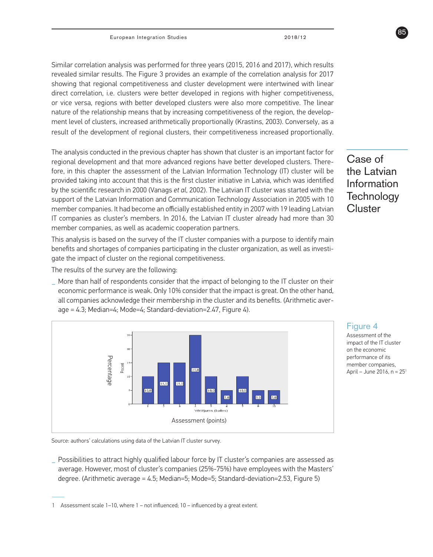Similar correlation analysis was performed for three years (2015, 2016 and 2017), which results revealed similar results. The Figure 3 provides an example of the correlation analysis for 2017 showing that regional competitiveness and cluster development were intertwined with linear direct correlation, i.e. clusters were better developed in regions with higher competitiveness, or vice versa, regions with better developed clusters were also more competitive. The linear nature of the relationship means that by increasing competitiveness of the region, the development level of clusters, increased arithmetically proportionally (Krastins, 2003). Conversely, as a result of the development of regional clusters, their competitiveness increased proportionally.

The analysis conducted in the previous chapter has shown that cluster is an important factor for regional development and that more advanced regions have better developed clusters. Therefore, in this chapter the assessment of the Latvian Information Technology (IT) cluster will be provided taking into account that this is the first cluster initiative in Latvia, which was identified by the scientific research in 2000 (Vanags *et al*, 2002). The Latvian IT cluster was started with the support of the Latvian Information and Communication Technology Association in 2005 with 10 member companies. It had become an officially established entity in 2007 with 19 leading Latvian IT companies as cluster's members. In 2016, the Latvian IT cluster already had more than 30 member companies, as well as academic cooperation partners.

This analysis is based on the survey of the IT cluster companies with a purpose to identify main benefits and shortages of companies participating in the cluster organization, as well as investigate the impact of cluster on the regional competitiveness.

The results of the survey are the following:

**\_** More than half of respondents consider that the impact of belonging to the IT cluster on their economic performance is weak. Only 10% consider that the impact is great. On the other hand, all companies acknowledge their membership in the cluster and its benefits. (Arithmetic average = 4.3; Median=4; Mode=4; Standard-deviation=2.47, Figure 4).



Source: authors' calculations using data of the Latvian IT cluster survey.

**\_** Possibilities to attract highly qualified labour force by IT cluster's companies are assessed as average. However, most of cluster's companies (25%-75%) have employees with the Masters' degree. (Arithmetic average = 4.5; Median=5; Mode=5; Standard-deviation=2.53, Figure 5)

Case of the Latvian Information **Technology Cluster** 

85



Assessment of the impact of the IT cluster on the economic performance of its member companies, April – June 2016,  $n = 25<sup>1</sup>$ 

<sup>1</sup> Assessment scale 1–10, where 1 – not influenced; 10 – influenced by a great extent.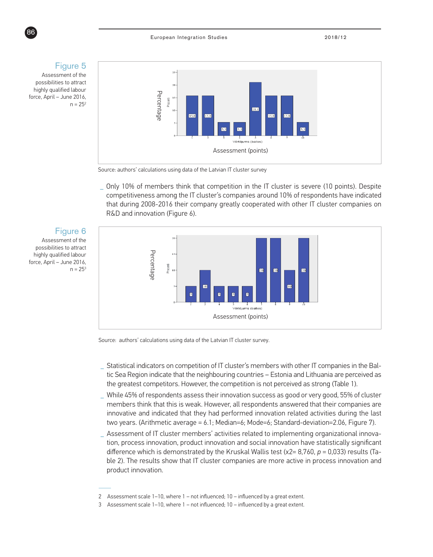### Figure 5

Assessment of the possibilities to attract highly qualified labour force, April – June 2016,  $n = 25<sup>2</sup>$ 



Source: authors' calculations using data of the Latvian IT cluster survey

**\_** Only 10% of members think that competition in the IT cluster is severe (10 points). Despite competitiveness among the IT cluster's companies around 10% of respondents have indicated that during 2008-2016 their company greatly cooperated with other IT cluster companies on



possibilities to attract highly qualified labour force, April – June 2016,  $n = 25<sup>3</sup>$ 



Source: authors' calculations using data of the Latvian IT cluster survey.

- **\_** Statistical indicators on competition of IT cluster's members with other IT companies in the Baltic Sea Region indicate that the neighbouring countries – Estonia and Lithuania are perceived as the greatest competitors. However, the competition is not perceived as strong (Table 1).
- **\_** While 45% of respondents assess their innovation success as good or very good, 55% of cluster members think that this is weak. However, all respondents answered that their companies are innovative and indicated that they had performed innovation related activities during the last two years. (Arithmetic average = 6.1; Median=6; Mode=6; Standard-deviation=2.06, Figure 7).
- **\_** Assessment of IT cluster members' activities related to implementing organizational innovation, process innovation, product innovation and social innovation have statistically significant difference which is demonstrated by the Kruskal Wallis test (χ2= 8,760, *p* = 0,033) results (Table 2). The results show that IT cluster companies are more active in process innovation and product innovation.

<sup>2</sup> Assessment scale 1–10, where 1 – not influenced; 10 – influenced by a great extent.

<sup>3</sup> Assessment scale 1–10, where 1 – not influenced; 10 – influenced by a great extent.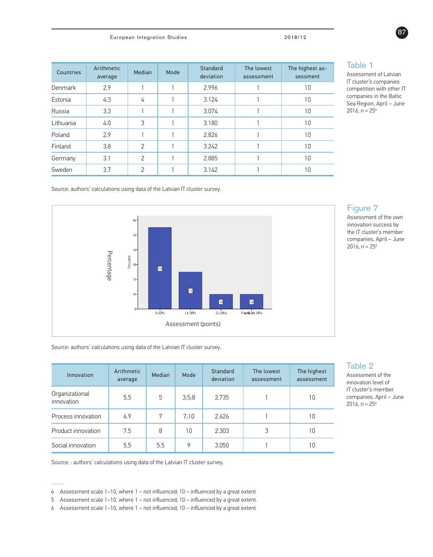| Countries | Arithmetic<br>average | Median         | Mode | Standard<br>deviation | The lowest<br>assessment | The highest as-<br>sessment |
|-----------|-----------------------|----------------|------|-----------------------|--------------------------|-----------------------------|
| Denmark   | 2.9                   |                |      | 2.996                 |                          | 10                          |
| Estonia   | 4.3                   | 4              |      | 3.124                 |                          | 10                          |
| Russia    | 3.3                   |                |      | 3.074                 |                          | 10                          |
| Lithuania | 4.0                   | 3              |      | 3.180                 |                          | 10                          |
| Poland    | 2.9                   |                |      | 2.826                 |                          | 10                          |
| Finland   | 3.8                   | $\overline{2}$ |      | 3.242                 |                          | 10                          |
| Germany   | 3.1                   | $\overline{2}$ |      | 2.885                 |                          | 10                          |
| Sweden    | 3.7                   | $\mathcal{P}$  |      | 3.142                 |                          | 10                          |

### Table 1

Assessment of Latvian IT cluster's companies competition with other IT companies in the Baltic Sea Region, April – June 2016,  $n = 25<sup>4</sup>$ 

Source: authors' calculations using data of the Latvian IT cluster survey.



### Figure 7

Assessment of the own innovation success by the IT cluster's member companies, April – June 2016,  $n = 25<sup>5</sup>$ 

Source: authors' calculations using data of the Latvian IT cluster survey.

| Innovation                   | Arithmetic<br>average | <b>Median</b> | Mode  | <b>Standard</b><br>deviation | The lowest<br>assessment | The highest<br>assessment |
|------------------------------|-----------------------|---------------|-------|------------------------------|--------------------------|---------------------------|
| Organizational<br>innovation | 5.5                   | 5             | 3;5;8 | 2.735                        |                          | 10                        |
| Process innovation           | 6.9                   | 7             | 7:10  | 2.626                        |                          | 10                        |
| Product innovation           | 7.5                   | 8             | 10    | 2.303                        | 3                        | 10                        |
| Social innovation            | 5.5                   | 5.5           | 9     | 3.050                        |                          | 10                        |

#### Table 2 Assessment of the

innovation level of IT cluster's member companies, April – June 2016,  $n = 25<sup>6</sup>$ 

Source: : authors' calculations using data of the Latvian IT cluster survey.



<sup>4</sup> Assessment scale 1–10, where 1 – not influenced; 10 – influenced by a great extent

<sup>5</sup> Assessment scale 1–10, where 1 – not influenced; 10 – influenced by a great extent.

<sup>6</sup> Assessment scale 1–10, where 1 – not influenced; 10 – influenced by a great extent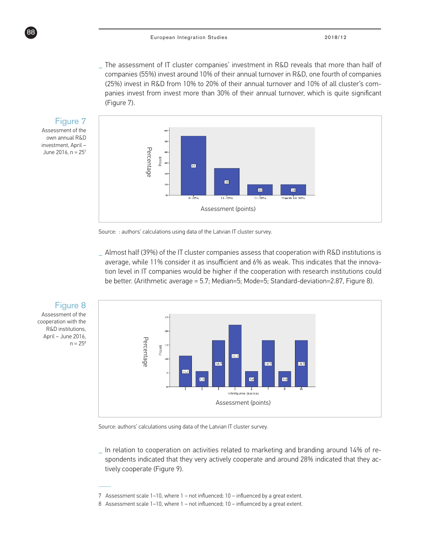**\_** The assessment of IT cluster companies' investment in R&D reveals that more than half of companies (55%) invest around 10% of their annual turnover in R&D, one fourth of companies (25%) invest in R&D from 10% to 20% of their annual turnover and 10% of all cluster's companies invest from invest more than 30% of their annual turnover, which is quite significant (Figure 7).



Source: : authors' calculations using data of the Latvian IT cluster survey.

**\_** Almost half (39%) of the IT cluster companies assess that cooperation with R&D institutions is average, while 11% consider it as insufficient and 6% as weak. This indicates that the innovation level in IT companies would be higher if the cooperation with research institutions could be better. (Arithmetic average = 5.7; Median=5; Mode=5; Standard-deviation=2.87, Figure 8).



Source: authors' calculations using data of the Latvian IT cluster survey.

**\_** In relation to cooperation on activities related to marketing and branding around 14% of respondents indicated that they very actively cooperate and around 28% indicated that they actively cooperate (Figure 9).

investment, April – June 2016,  $n = 25<sup>7</sup>$ 

<sup>7</sup> Assessment scale 1–10, where 1 – not influenced; 10 – influenced by a great extent.

<sup>8</sup> Assessment scale 1–10, where 1 – not influenced; 10 – influenced by a great extent.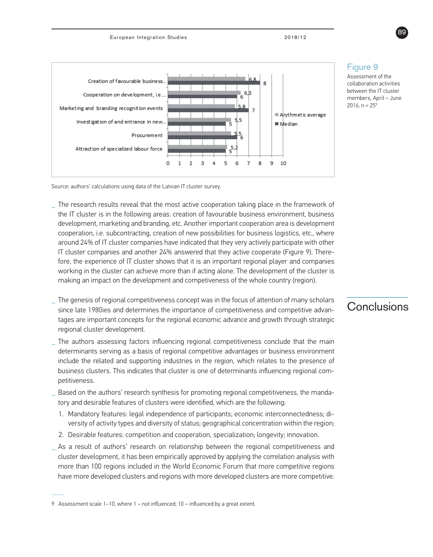

### Figure 9

Assessment of the collaboration activities between the IT cluster members, April – June 2016,  $n = 25^{\circ}$ 

Source: authors' calculations using data of the Latvian IT cluster survey.

- **\_** The research results reveal that the most active cooperation taking place in the framework of the IT cluster is in the following areas: creation of favourable business environment, business development, marketing and branding, etc. Another important cooperation area is development cooperation, i.e. subcontracting, creation of new possibilities for business logistics, etc., where around 24% of IT cluster companies have indicated that they very actively participate with other IT cluster companies and another 24% answered that they active cooperate (Figure 9). Therefore, the experience of IT cluster shows that it is an important regional player and companies working in the cluster can achieve more than if acting alone. The development of the cluster is making an impact on the development and competiveness of the whole country (region).
- **\_** The genesis of regional competitiveness concept was in the focus of attention of many scholars since late 1980ies and determines the importance of competitiveness and competitive advantages are important concepts for the regional economic advance and growth through strategic regional cluster development.
- **\_** The authors assessing factors influencing regional competitiveness conclude that the main determinants serving as a basis of regional competitive advantages or business environment include the related and supporting industries in the region, which relates to the presence of business clusters. This indicates that cluster is one of determinants influencing regional competitiveness.
- **\_** Based on the authors' research synthesis for promoting regional competitiveness, the mandatory and desirable features of clusters were identified, which are the following:
	- 1. Mandatory features: legal independence of participants; economic interconnectedness; diversity of activity types and diversity of status; geographical concentration within the region;
	- 2. Desirable features: competition and cooperation, specialization; longevity; innovation.
- **\_** As a result of authors' research on relationship between the regional competitiveness and cluster development, it has been empirically approved by applying the correlation analysis with more than 100 regions included in the World Economic Forum that more competitive regions have more developed clusters and regions with more developed clusters are more competitive.

# **Conclusions**



<sup>9</sup> Assessment scale 1–10, where 1 – not influenced; 10 – influenced by a great extent.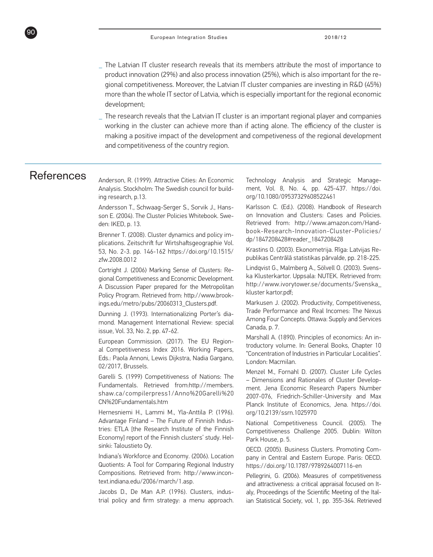- **\_** The Latvian IT cluster research reveals that its members attribute the most of importance to product innovation (29%) and also process innovation (25%), which is also important for the regional competitiveness. Moreover, the Latvian IT cluster companies are investing in R&D (45%) more than the whole IT sector of Latvia, which is especially important for the regional economic development;
- **\_** The research reveals that the Latvian IT cluster is an important regional player and companies working in the cluster can achieve more than if acting alone. The efficiency of the cluster is making a positive impact of the development and competiveness of the regional development and competitiveness of the country region.

# References

90

Anderson, R. (1999). Attractive Cities: An Economic Analysis. Stockholm: The Swedish council for building research, p.13.

Andersson T., Schwaag-Serger S., Sorvik J., Hansson E. (2004). The Cluster Policies Whitebook. Sweden: IKED, p. 13.

Brenner T. (2008). Cluster dynamics and policy implications. Zeitschrift fur Wirtshaftsgeographie Vol. 53, No. 2-3. pp. 146-162 https://doi.org/10.1515/ zfw.2008.0012

Cortright J. (2006) Marking Sense of Clusters: Regional Competitiveness and Economic Development. A Discussion Paper prepared for the Metropolitan Policy Program. Retrieved from: http://www.brookings.edu/metro/pubs/20060313\_Clusters.pdf.

Dunning J. (1993). Internationalizing Porter's diamond. Management International Review: special issue, Vol. 33, No. 2, pp. 47-62.

European Commission. (2017). The EU Regional Competitiveness Index 2016. Working Papers, Eds.: Paola Annoni, Lewis Dijkstra, Nadia Gargano, 02/2017, Brussels.

Garelli S. (1999) Competitiveness of Nations: The Fundamentals. Retrieved from:http://members. shaw.ca/compilerpress1/Anno%20Garelli%20 CN%20Fundamentals.htm

Hernesniemi H., Lammi M., Yla-Anttila P. (1996). Advantage Finland – The Future of Finnish Industries: ETLA [the Research Institute of the Finnish Economy] report of the Finnish clusters' study. Helsinki: Taloustieto Oy.

Indiana's Workforce and Economy. (2006). Location Quotients: A Tool for Comparing Regional Industry Compositions. Retrieved from: http://www.incontext.indiana.edu/2006/march/1.asp.

Jacobs D., De Man A.P. (1996). Clusters, industrial policy and firm strategy: a menu approach. Technology Analysis and Strategic Management, Vol. 8, No. 4, pp. 425-437. https://doi. org/10.1080/09537329608522461

Karlsson C. (Ed.). (2008). Handbook of Research on Innovation and Clusters: Cases and Policies. Retrieved from: http://www.amazon.com/Handbook-Research-Innovation-Cluster-Policies/ dp/1847208428#reader\_1847208428

Krastins O. (2003). Ekonometrija. Rīga: Latvijas Republikas Centrālā statistikas pārvalde, pp. 218-225.

Lindqvist G., Malmberg A., Sölvell O. (2003). Svenska Klusterkartor. Uppsala: NUTEK. Retrieved from: http://www.ivorytower.se/documents/Svenska\_ kluster kartor.pdf;

Markusen J. (2002). Productivity, Competitiveness, Trade Performance and Real Incomes: The Nexus Among Four Concepts. Ottawa: Supply and Services Canada, p. 7.

Marshall A. (1890). Principles of economics: An introductory volume. In: General Books, Chapter 10 "Concentration of Industries in Particular Localities". London: Macmilan.

Menzel M., Fornahl D. (2007). Cluster Life Cycles – Dimensions and Rationales of Cluster Development. Jena Economic Research Papers Number 2007-076, Friedrich-Schiller-University and Max Planck Institute of Economics, Jena. https://doi. org/10.2139/ssrn.1025970

National Competitiveness Council. (2005). The Competitiveness Challenge 2005. Dublin: Wilton Park House, p. 5.

OECD. (2005). Business Clusters. Promoting Company in Central and Eastern Europe. Paris: OECD. https://doi.org/10.1787/9789264007116-en

Pellegrini, G. (2006). Measures of competitiveness and attractiveness: a critical appraisal focused on Italy, Proceedings of the Scientific Meeting of the Italian Statistical Society, vol. 1, pp. 355-364. Retrieved